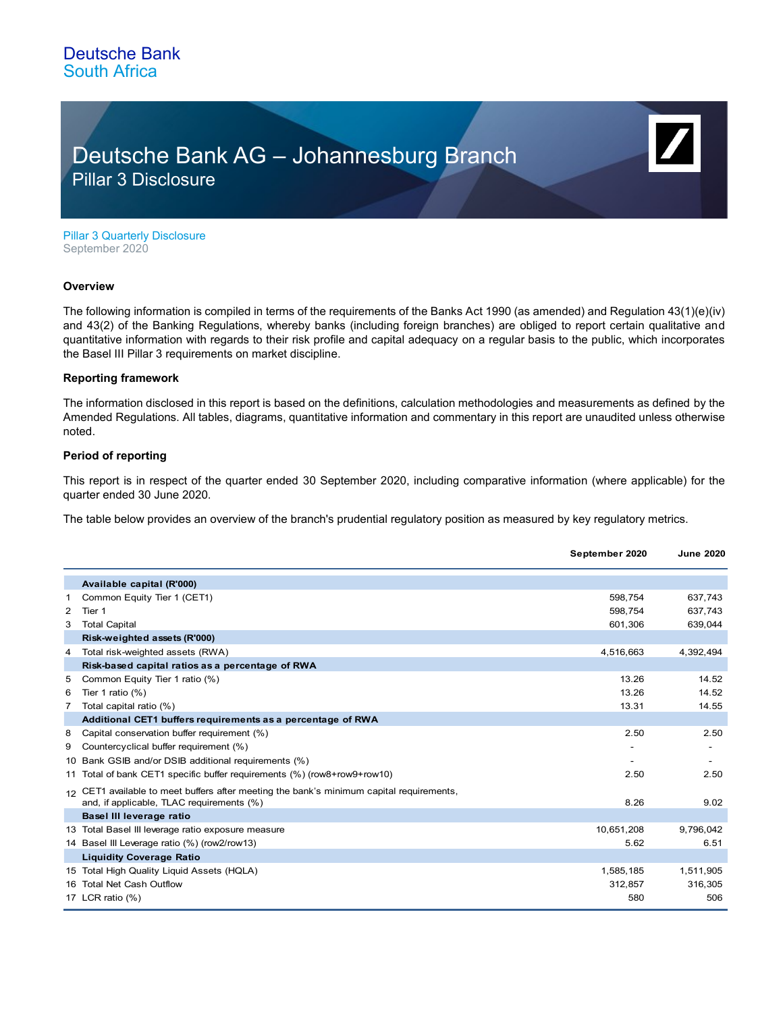### Deutsche Bank South Africa

## Deutsche Bank AG – Johannesburg Branch Pillar 3 Disclosure

Pillar 3 Quarterly Disclosure September 2020

#### **Overview**

The following information is compiled in terms of the requirements of the Banks Act 1990 (as amended) and Regulation 43(1)(e)(iv) and 43(2) of the Banking Regulations, whereby banks (including foreign branches) are obliged to report certain qualitative and quantitative information with regards to their risk profile and capital adequacy on a regular basis to the public, which incorporates the Basel III Pillar 3 requirements on market discipline.

#### **Reporting framework**

The information disclosed in this report is based on the definitions, calculation methodologies and measurements as defined by the Amended Regulations. All tables, diagrams, quantitative information and commentary in this report are unaudited unless otherwise noted.

#### **Period of reporting**

This report is in respect of the quarter ended 30 September 2020, including comparative information (where applicable) for the quarter ended 30 June 2020.

The table below provides an overview of the branch's prudential regulatory position as measured by key regulatory metrics.

|   |                                                                                                                                       | September 2020 | <b>June 2020</b> |
|---|---------------------------------------------------------------------------------------------------------------------------------------|----------------|------------------|
|   | Available capital (R'000)                                                                                                             |                |                  |
| 1 | Common Equity Tier 1 (CET1)                                                                                                           | 598.754        | 637,743          |
| 2 | Tier 1                                                                                                                                | 598,754        | 637,743          |
| 3 | <b>Total Capital</b>                                                                                                                  | 601,306        | 639,044          |
|   | Risk-weighted assets (R'000)                                                                                                          |                |                  |
| 4 | Total risk-weighted assets (RWA)                                                                                                      | 4,516,663      | 4,392,494        |
|   | Risk-based capital ratios as a percentage of RWA                                                                                      |                |                  |
| 5 | Common Equity Tier 1 ratio (%)                                                                                                        | 13.26          | 14.52            |
| 6 | Tier 1 ratio $(\%)$                                                                                                                   | 13.26          | 14.52            |
| 7 | Total capital ratio (%)                                                                                                               | 13.31          | 14.55            |
|   | Additional CET1 buffers requirements as a percentage of RWA                                                                           |                |                  |
| 8 | Capital conservation buffer requirement (%)                                                                                           | 2.50           | 2.50             |
| 9 | Countercyclical buffer requirement (%)                                                                                                |                |                  |
|   | 10 Bank GSIB and/or DSIB additional requirements (%)                                                                                  | ۰              |                  |
|   | 11 Total of bank CET1 specific buffer requirements (%) (row8+row9+row10)                                                              | 2.50           | 2.50             |
|   | 12 CET1 available to meet buffers after meeting the bank's minimum capital requirements,<br>and, if applicable, TLAC requirements (%) | 8.26           | 9.02             |
|   | Basel III leverage ratio                                                                                                              |                |                  |
|   | 13 Total Basel III leverage ratio exposure measure                                                                                    | 10,651,208     | 9,796,042        |
|   | 14 Basel III Leverage ratio (%) (row2/row13)                                                                                          | 5.62           | 6.51             |
|   | <b>Liquidity Coverage Ratio</b>                                                                                                       |                |                  |
|   | 15 Total High Quality Liquid Assets (HQLA)                                                                                            | 1,585,185      | 1,511,905        |
|   | 16 Total Net Cash Outflow                                                                                                             | 312,857        | 316,305          |
|   | 17 LCR ratio (%)                                                                                                                      | 580            | 506              |